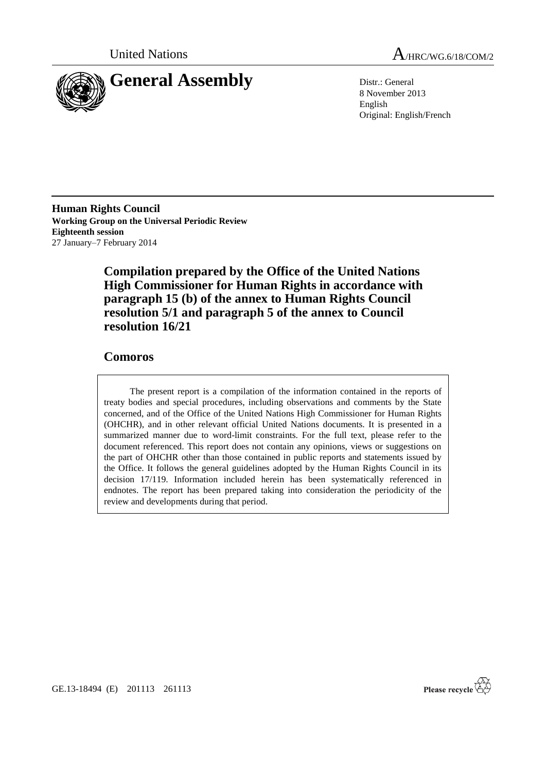

United Nations A<sub>/HRC/WG.6/18/COM/2</sub>

8 November 2013 English Original: English/French

**Human Rights Council Working Group on the Universal Periodic Review Eighteenth session** 27 January–7 February 2014

> **Compilation prepared by the Office of the United Nations High Commissioner for Human Rights in accordance with paragraph 15 (b) of the annex to Human Rights Council resolution 5/1 and paragraph 5 of the annex to Council resolution 16/21**

### **Comoros**

The present report is a compilation of the information contained in the reports of treaty bodies and special procedures, including observations and comments by the State concerned, and of the Office of the United Nations High Commissioner for Human Rights (OHCHR), and in other relevant official United Nations documents. It is presented in a summarized manner due to word-limit constraints. For the full text, please refer to the document referenced. This report does not contain any opinions, views or suggestions on the part of OHCHR other than those contained in public reports and statements issued by the Office. It follows the general guidelines adopted by the Human Rights Council in its decision 17/119. Information included herein has been systematically referenced in endnotes. The report has been prepared taking into consideration the periodicity of the review and developments during that period.

Please recycle  $\mathbb{Z}$ 

GE.13-18494 (E) 201113 261113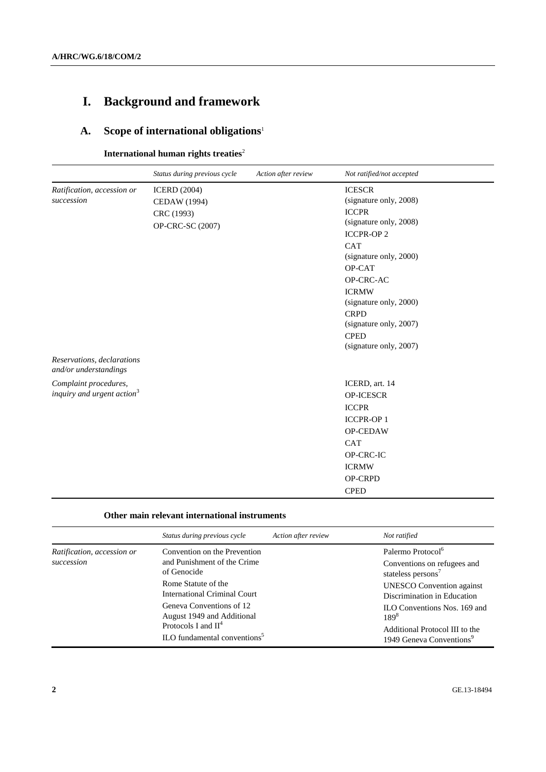# **I. Background and framework**

# **A. Scope of international obligations**<sup>1</sup>

**International human rights treaties<sup>2</sup>** 

|                                                     | Status during previous cycle | Action after review | Not ratified/not accepted |
|-----------------------------------------------------|------------------------------|---------------------|---------------------------|
| Ratification, accession or                          | <b>ICERD</b> (2004)          |                     | <b>ICESCR</b>             |
| succession                                          | CEDAW (1994)                 |                     | (signature only, 2008)    |
|                                                     | CRC (1993)                   |                     | <b>ICCPR</b>              |
|                                                     | OP-CRC-SC (2007)             |                     | (signature only, 2008)    |
|                                                     |                              |                     | <b>ICCPR-OP2</b>          |
|                                                     |                              |                     | <b>CAT</b>                |
|                                                     |                              |                     | (signature only, 2000)    |
|                                                     |                              |                     | OP-CAT                    |
|                                                     |                              |                     | OP-CRC-AC                 |
|                                                     |                              |                     | <b>ICRMW</b>              |
|                                                     |                              |                     | (signature only, 2000)    |
|                                                     |                              |                     | <b>CRPD</b>               |
|                                                     |                              |                     | (signature only, 2007)    |
|                                                     |                              |                     | <b>CPED</b>               |
|                                                     |                              |                     | (signature only, 2007)    |
| Reservations, declarations<br>and/or understandings |                              |                     |                           |
| Complaint procedures,                               |                              |                     | ICERD, art. 14            |
| inquiry and urgent action <sup>3</sup>              |                              |                     | <b>OP-ICESCR</b>          |
|                                                     |                              |                     | <b>ICCPR</b>              |
|                                                     |                              |                     | <b>ICCPR-OP1</b>          |
|                                                     |                              |                     | OP-CEDAW                  |
|                                                     |                              |                     | <b>CAT</b>                |
|                                                     |                              |                     | OP-CRC-IC                 |
|                                                     |                              |                     | <b>ICRMW</b>              |
|                                                     |                              |                     | OP-CRPD                   |
|                                                     |                              |                     | <b>CPED</b>               |

### **Other main relevant international instruments**

|                                          | Status during previous cycle                                                                                                | Action after review | Not ratified                                                                                                        |
|------------------------------------------|-----------------------------------------------------------------------------------------------------------------------------|---------------------|---------------------------------------------------------------------------------------------------------------------|
| Ratification, accession or<br>succession | Convention on the Prevention<br>and Punishment of the Crime<br>of Genocide                                                  |                     | Palermo Protocol <sup>6</sup><br>Conventions on refugees and<br>stateless persons <sup>7</sup>                      |
|                                          | Rome Statute of the<br>International Criminal Court                                                                         |                     | <b>UNESCO</b> Convention against<br>Discrimination in Education                                                     |
|                                          | Geneva Conventions of 12<br>August 1949 and Additional<br>Protocols I and $II4$<br>ILO fundamental conventions <sup>5</sup> |                     | ILO Conventions Nos. 169 and<br>$189^{8}$<br>Additional Protocol III to the<br>1949 Geneva Conventions <sup>9</sup> |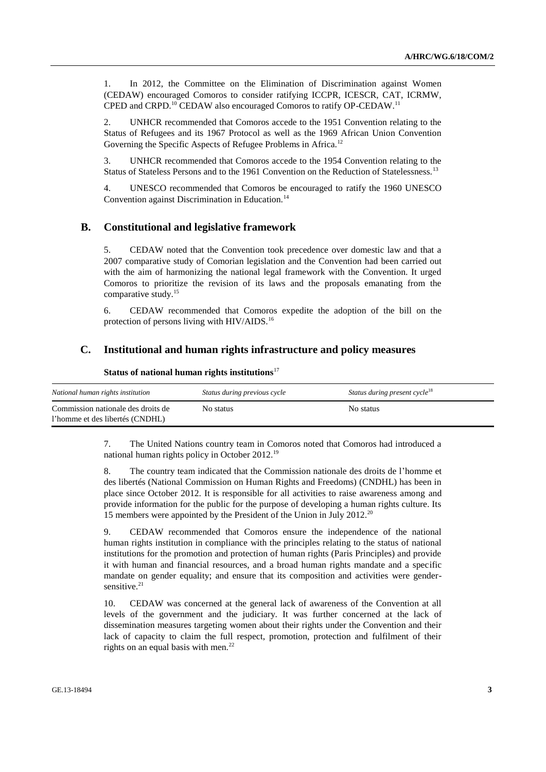1. In 2012, the Committee on the Elimination of Discrimination against Women (CEDAW) encouraged Comoros to consider ratifying ICCPR, ICESCR, CAT, ICRMW, CPED and CRPD.<sup>10</sup> CEDAW also encouraged Comoros to ratify OP-CEDAW.<sup>11</sup>

2. UNHCR recommended that Comoros accede to the 1951 Convention relating to the Status of Refugees and its 1967 Protocol as well as the 1969 African Union Convention Governing the Specific Aspects of Refugee Problems in Africa.<sup>12</sup>

3. UNHCR recommended that Comoros accede to the 1954 Convention relating to the Status of Stateless Persons and to the 1961 Convention on the Reduction of Statelessness.<sup>13</sup>

4. UNESCO recommended that Comoros be encouraged to ratify the 1960 UNESCO Convention against Discrimination in Education.<sup>14</sup>

### **B. Constitutional and legislative framework**

5. CEDAW noted that the Convention took precedence over domestic law and that a 2007 comparative study of Comorian legislation and the Convention had been carried out with the aim of harmonizing the national legal framework with the Convention. It urged Comoros to prioritize the revision of its laws and the proposals emanating from the comparative study.<sup>15</sup>

6. CEDAW recommended that Comoros expedite the adoption of the bill on the protection of persons living with HIV/AIDS.<sup>16</sup>

### **C. Institutional and human rights infrastructure and policy measures**

| National human rights institution                                     | Status during previous cycle | Status during present cycle <sup>18</sup> |
|-----------------------------------------------------------------------|------------------------------|-------------------------------------------|
| Commission nationale des droits de<br>l'homme et des libertés (CNDHL) | No status                    | No status                                 |

### **Status of national human rights institutions**<sup>17</sup>

7. The United Nations country team in Comoros noted that Comoros had introduced a national human rights policy in October 2012.<sup>19</sup>

8. The country team indicated that the Commission nationale des droits de l'homme et des libertés (National Commission on Human Rights and Freedoms) (CNDHL) has been in place since October 2012. It is responsible for all activities to raise awareness among and provide information for the public for the purpose of developing a human rights culture. Its 15 members were appointed by the President of the Union in July 2012.<sup>20</sup>

9. CEDAW recommended that Comoros ensure the independence of the national human rights institution in compliance with the principles relating to the status of national institutions for the promotion and protection of human rights (Paris Principles) and provide it with human and financial resources, and a broad human rights mandate and a specific mandate on gender equality; and ensure that its composition and activities were gendersensitive.<sup>21</sup>

10. CEDAW was concerned at the general lack of awareness of the Convention at all levels of the government and the judiciary. It was further concerned at the lack of dissemination measures targeting women about their rights under the Convention and their lack of capacity to claim the full respect, promotion, protection and fulfilment of their rights on an equal basis with men. $^{22}$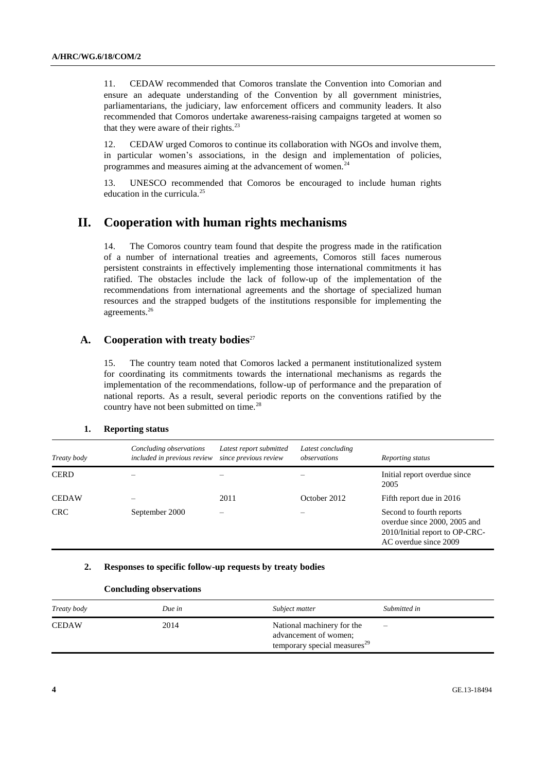11. CEDAW recommended that Comoros translate the Convention into Comorian and ensure an adequate understanding of the Convention by all government ministries, parliamentarians, the judiciary, law enforcement officers and community leaders. It also recommended that Comoros undertake awareness-raising campaigns targeted at women so that they were aware of their rights.<sup>23</sup>

12. CEDAW urged Comoros to continue its collaboration with NGOs and involve them, in particular women's associations, in the design and implementation of policies, programmes and measures aiming at the advancement of women.<sup>24</sup>

13. UNESCO recommended that Comoros be encouraged to include human rights education in the curricula. $25$ 

## **II. Cooperation with human rights mechanisms**

14. The Comoros country team found that despite the progress made in the ratification of a number of international treaties and agreements, Comoros still faces numerous persistent constraints in effectively implementing those international commitments it has ratified. The obstacles include the lack of follow-up of the implementation of the recommendations from international agreements and the shortage of specialized human resources and the strapped budgets of the institutions responsible for implementing the agreements.<sup>26</sup>

### A. Cooperation with treaty bodies<sup>27</sup>

15. The country team noted that Comoros lacked a permanent institutionalized system for coordinating its commitments towards the international mechanisms as regards the implementation of the recommendations, follow-up of performance and the preparation of national reports. As a result, several periodic reports on the conventions ratified by the country have not been submitted on time.<sup>28</sup>

#### **1. Reporting status**

| Treaty body  | Concluding observations<br>included in previous review | Latest report submitted<br>since previous review | Latest concluding<br>observations | Reporting status                                                                                                    |
|--------------|--------------------------------------------------------|--------------------------------------------------|-----------------------------------|---------------------------------------------------------------------------------------------------------------------|
| <b>CERD</b>  |                                                        |                                                  |                                   | Initial report overdue since.<br>2005                                                                               |
| <b>CEDAW</b> |                                                        | 2011                                             | October 2012                      | Fifth report due in 2016                                                                                            |
| <b>CRC</b>   | September 2000                                         |                                                  |                                   | Second to fourth reports<br>overdue since 2000, 2005 and<br>2010/Initial report to OP-CRC-<br>AC overdue since 2009 |

### **2. Responses to specific follow-up requests by treaty bodies**

| Treaty body  | Due in | Subject matter                                                                                  | Submitted in             |
|--------------|--------|-------------------------------------------------------------------------------------------------|--------------------------|
| <b>CEDAW</b> | 2014   | National machinery for the<br>advancement of women;<br>temporary special measures <sup>29</sup> | $\overline{\phantom{0}}$ |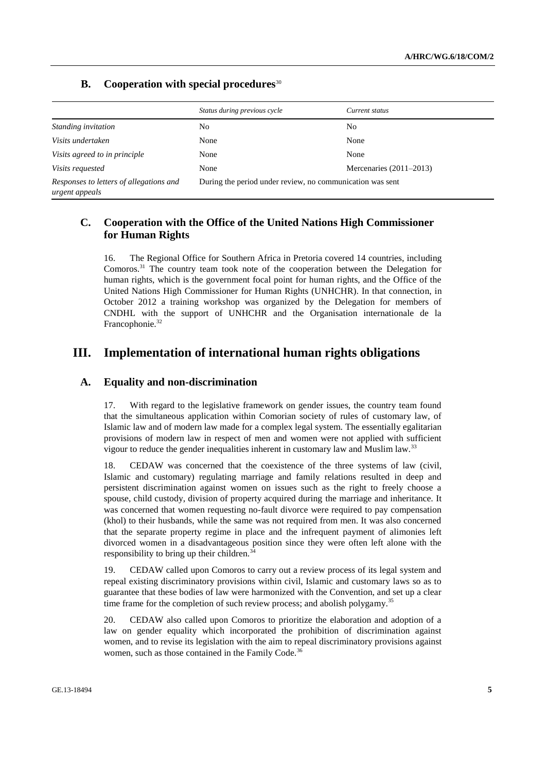|                                                           | Status during previous cycle                              | Current status            |
|-----------------------------------------------------------|-----------------------------------------------------------|---------------------------|
| Standing invitation                                       | No.                                                       | N <sub>0</sub>            |
| Visits undertaken                                         | None                                                      | None                      |
| Visits agreed to in principle                             | None                                                      | None                      |
| Visits requested                                          | None                                                      | Mercenaries $(2011-2013)$ |
| Responses to letters of allegations and<br>urgent appeals | During the period under review, no communication was sent |                           |

### **B. Cooperation with special procedures**<sup>30</sup>

### **C. Cooperation with the Office of the United Nations High Commissioner for Human Rights**

16. The Regional Office for Southern Africa in Pretoria covered 14 countries, including Comoros.<sup>31</sup> The country team took note of the cooperation between the Delegation for human rights, which is the government focal point for human rights, and the Office of the United Nations High Commissioner for Human Rights (UNHCHR). In that connection, in October 2012 a training workshop was organized by the Delegation for members of CNDHL with the support of UNHCHR and the Organisation internationale de la Francophonie.<sup>32</sup>

### **III. Implementation of international human rights obligations**

### **A. Equality and non-discrimination**

17. With regard to the legislative framework on gender issues, the country team found that the simultaneous application within Comorian society of rules of customary law, of Islamic law and of modern law made for a complex legal system. The essentially egalitarian provisions of modern law in respect of men and women were not applied with sufficient vigour to reduce the gender inequalities inherent in customary law and Muslim law.<sup>33</sup>

18. CEDAW was concerned that the coexistence of the three systems of law (civil, Islamic and customary) regulating marriage and family relations resulted in deep and persistent discrimination against women on issues such as the right to freely choose a spouse, child custody, division of property acquired during the marriage and inheritance. It was concerned that women requesting no-fault divorce were required to pay compensation (khol) to their husbands, while the same was not required from men. It was also concerned that the separate property regime in place and the infrequent payment of alimonies left divorced women in a disadvantageous position since they were often left alone with the responsibility to bring up their children.<sup>34</sup>

19. CEDAW called upon Comoros to carry out a review process of its legal system and repeal existing discriminatory provisions within civil, Islamic and customary laws so as to guarantee that these bodies of law were harmonized with the Convention, and set up a clear time frame for the completion of such review process; and abolish polygamy.<sup>35</sup>

20. CEDAW also called upon Comoros to prioritize the elaboration and adoption of a law on gender equality which incorporated the prohibition of discrimination against women, and to revise its legislation with the aim to repeal discriminatory provisions against women, such as those contained in the Family Code.<sup>36</sup>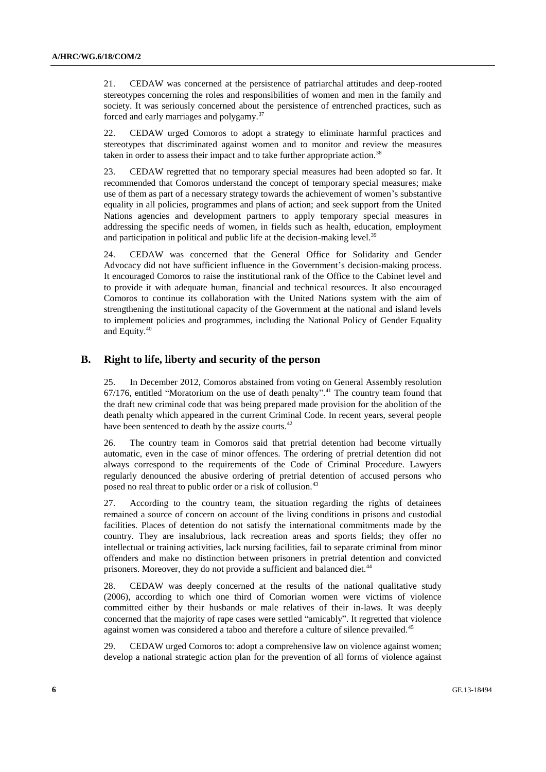21. CEDAW was concerned at the persistence of patriarchal attitudes and deep-rooted stereotypes concerning the roles and responsibilities of women and men in the family and society. It was seriously concerned about the persistence of entrenched practices, such as forced and early marriages and polygamy.<sup>37</sup>

22. CEDAW urged Comoros to adopt a strategy to eliminate harmful practices and stereotypes that discriminated against women and to monitor and review the measures taken in order to assess their impact and to take further appropriate action.<sup>38</sup>

23. CEDAW regretted that no temporary special measures had been adopted so far. It recommended that Comoros understand the concept of temporary special measures; make use of them as part of a necessary strategy towards the achievement of women's substantive equality in all policies, programmes and plans of action; and seek support from the United Nations agencies and development partners to apply temporary special measures in addressing the specific needs of women, in fields such as health, education, employment and participation in political and public life at the decision-making level.<sup>39</sup>

24. CEDAW was concerned that the General Office for Solidarity and Gender Advocacy did not have sufficient influence in the Government's decision-making process. It encouraged Comoros to raise the institutional rank of the Office to the Cabinet level and to provide it with adequate human, financial and technical resources. It also encouraged Comoros to continue its collaboration with the United Nations system with the aim of strengthening the institutional capacity of the Government at the national and island levels to implement policies and programmes, including the National Policy of Gender Equality and Equity.<sup>40</sup>

### **B. Right to life, liberty and security of the person**

25. In December 2012, Comoros abstained from voting on General Assembly resolution 67/176, entitled "Moratorium on the use of death penalty". <sup>41</sup> The country team found that the draft new criminal code that was being prepared made provision for the abolition of the death penalty which appeared in the current Criminal Code. In recent years, several people have been sentenced to death by the assize courts.<sup>42</sup>

26. The country team in Comoros said that pretrial detention had become virtually automatic, even in the case of minor offences. The ordering of pretrial detention did not always correspond to the requirements of the Code of Criminal Procedure. Lawyers regularly denounced the abusive ordering of pretrial detention of accused persons who posed no real threat to public order or a risk of collusion.<sup>43</sup>

27. According to the country team, the situation regarding the rights of detainees remained a source of concern on account of the living conditions in prisons and custodial facilities. Places of detention do not satisfy the international commitments made by the country. They are insalubrious, lack recreation areas and sports fields; they offer no intellectual or training activities, lack nursing facilities, fail to separate criminal from minor offenders and make no distinction between prisoners in pretrial detention and convicted prisoners. Moreover, they do not provide a sufficient and balanced diet.<sup>44</sup>

28. CEDAW was deeply concerned at the results of the national qualitative study (2006), according to which one third of Comorian women were victims of violence committed either by their husbands or male relatives of their in-laws. It was deeply concerned that the majority of rape cases were settled "amicably". It regretted that violence against women was considered a taboo and therefore a culture of silence prevailed.<sup>45</sup>

29. CEDAW urged Comoros to: adopt a comprehensive law on violence against women; develop a national strategic action plan for the prevention of all forms of violence against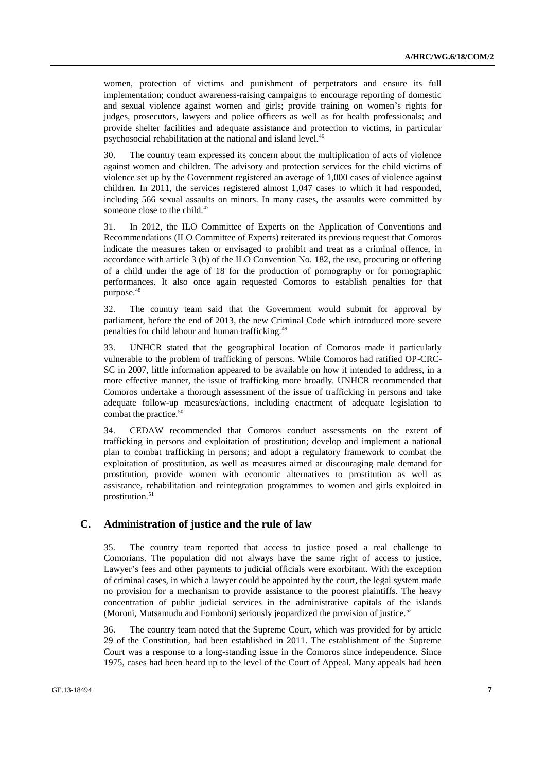women, protection of victims and punishment of perpetrators and ensure its full implementation; conduct awareness-raising campaigns to encourage reporting of domestic and sexual violence against women and girls; provide training on women's rights for judges, prosecutors, lawyers and police officers as well as for health professionals; and provide shelter facilities and adequate assistance and protection to victims, in particular psychosocial rehabilitation at the national and island level.<sup>46</sup>

30. The country team expressed its concern about the multiplication of acts of violence against women and children. The advisory and protection services for the child victims of violence set up by the Government registered an average of 1,000 cases of violence against children. In 2011, the services registered almost 1,047 cases to which it had responded, including 566 sexual assaults on minors. In many cases, the assaults were committed by someone close to the child.<sup>47</sup>

31. In 2012, the ILO Committee of Experts on the Application of Conventions and Recommendations (ILO Committee of Experts) reiterated its previous request that Comoros indicate the measures taken or envisaged to prohibit and treat as a criminal offence, in accordance with article 3 (b) of the ILO Convention No. 182, the use, procuring or offering of a child under the age of 18 for the production of pornography or for pornographic performances. It also once again requested Comoros to establish penalties for that purpose.<sup>48</sup>

32. The country team said that the Government would submit for approval by parliament, before the end of 2013, the new Criminal Code which introduced more severe penalties for child labour and human trafficking.<sup>49</sup>

33. UNHCR stated that the geographical location of Comoros made it particularly vulnerable to the problem of trafficking of persons. While Comoros had ratified OP-CRC-SC in 2007, little information appeared to be available on how it intended to address, in a more effective manner, the issue of trafficking more broadly. UNHCR recommended that Comoros undertake a thorough assessment of the issue of trafficking in persons and take adequate follow-up measures/actions, including enactment of adequate legislation to combat the practice.<sup>50</sup>

34. CEDAW recommended that Comoros conduct assessments on the extent of trafficking in persons and exploitation of prostitution; develop and implement a national plan to combat trafficking in persons; and adopt a regulatory framework to combat the exploitation of prostitution, as well as measures aimed at discouraging male demand for prostitution, provide women with economic alternatives to prostitution as well as assistance, rehabilitation and reintegration programmes to women and girls exploited in prostitution.<sup>51</sup>

### **C. Administration of justice and the rule of law**

35. The country team reported that access to justice posed a real challenge to Comorians. The population did not always have the same right of access to justice. Lawyer's fees and other payments to judicial officials were exorbitant. With the exception of criminal cases, in which a lawyer could be appointed by the court, the legal system made no provision for a mechanism to provide assistance to the poorest plaintiffs. The heavy concentration of public judicial services in the administrative capitals of the islands (Moroni, Mutsamudu and Fomboni) seriously jeopardized the provision of justice. $52$ 

36. The country team noted that the Supreme Court, which was provided for by article 29 of the Constitution, had been established in 2011. The establishment of the Supreme Court was a response to a long-standing issue in the Comoros since independence. Since 1975, cases had been heard up to the level of the Court of Appeal. Many appeals had been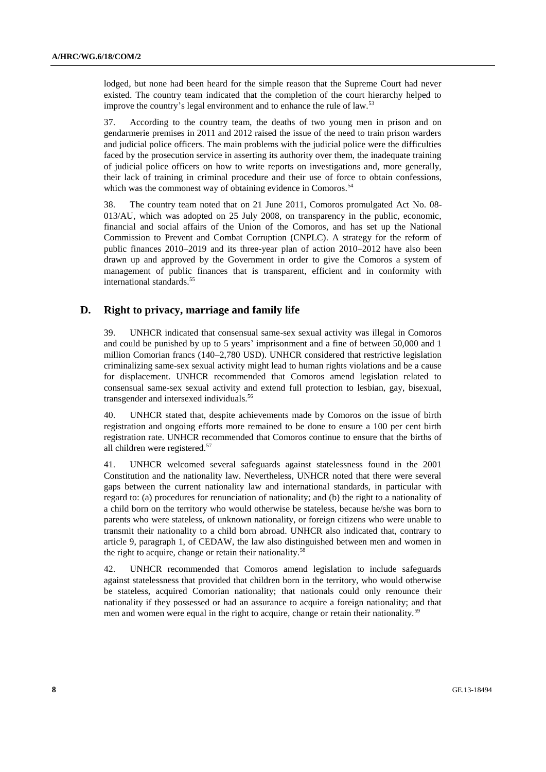lodged, but none had been heard for the simple reason that the Supreme Court had never existed. The country team indicated that the completion of the court hierarchy helped to improve the country's legal environment and to enhance the rule of law.<sup>53</sup>

37. According to the country team, the deaths of two young men in prison and on gendarmerie premises in 2011 and 2012 raised the issue of the need to train prison warders and judicial police officers. The main problems with the judicial police were the difficulties faced by the prosecution service in asserting its authority over them, the inadequate training of judicial police officers on how to write reports on investigations and, more generally, their lack of training in criminal procedure and their use of force to obtain confessions, which was the commonest way of obtaining evidence in Comoros.<sup>54</sup>

38. The country team noted that on 21 June 2011, Comoros promulgated Act No. 08- 013/AU, which was adopted on 25 July 2008, on transparency in the public, economic, financial and social affairs of the Union of the Comoros, and has set up the National Commission to Prevent and Combat Corruption (CNPLC). A strategy for the reform of public finances 2010–2019 and its three-year plan of action 2010–2012 have also been drawn up and approved by the Government in order to give the Comoros a system of management of public finances that is transparent, efficient and in conformity with international standards.<sup>55</sup>

### **D. Right to privacy, marriage and family life**

39. UNHCR indicated that consensual same-sex sexual activity was illegal in Comoros and could be punished by up to 5 years' imprisonment and a fine of between 50,000 and 1 million Comorian francs (140–2,780 USD). UNHCR considered that restrictive legislation criminalizing same-sex sexual activity might lead to human rights violations and be a cause for displacement. UNHCR recommended that Comoros amend legislation related to consensual same-sex sexual activity and extend full protection to lesbian, gay, bisexual, transgender and intersexed individuals.<sup>56</sup>

40. UNHCR stated that, despite achievements made by Comoros on the issue of birth registration and ongoing efforts more remained to be done to ensure a 100 per cent birth registration rate. UNHCR recommended that Comoros continue to ensure that the births of all children were registered.<sup>57</sup>

41. UNHCR welcomed several safeguards against statelessness found in the 2001 Constitution and the nationality law. Nevertheless, UNHCR noted that there were several gaps between the current nationality law and international standards, in particular with regard to: (a) procedures for renunciation of nationality; and (b) the right to a nationality of a child born on the territory who would otherwise be stateless, because he/she was born to parents who were stateless, of unknown nationality, or foreign citizens who were unable to transmit their nationality to a child born abroad. UNHCR also indicated that, contrary to article 9, paragraph 1, of CEDAW, the law also distinguished between men and women in the right to acquire, change or retain their nationality.<sup>58</sup>

42. UNHCR recommended that Comoros amend legislation to include safeguards against statelessness that provided that children born in the territory, who would otherwise be stateless, acquired Comorian nationality; that nationals could only renounce their nationality if they possessed or had an assurance to acquire a foreign nationality; and that men and women were equal in the right to acquire, change or retain their nationality.<sup>59</sup>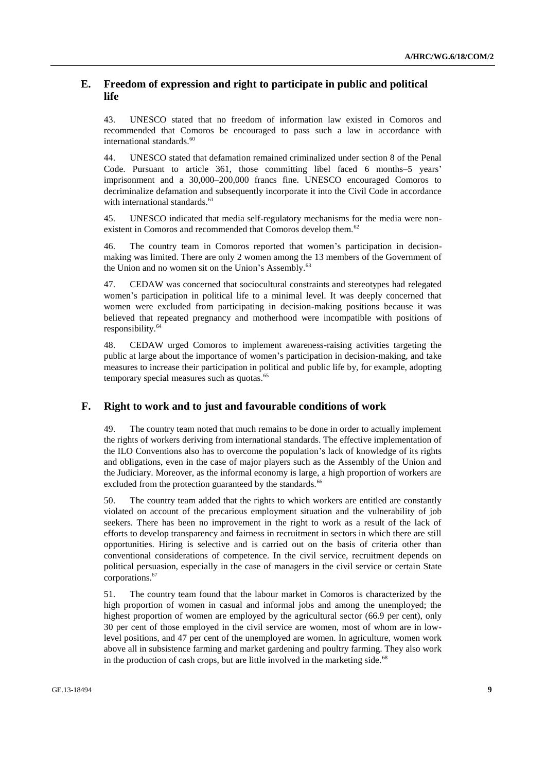### **E. Freedom of expression and right to participate in public and political life**

43. UNESCO stated that no freedom of information law existed in Comoros and recommended that Comoros be encouraged to pass such a law in accordance with international standards.<sup>60</sup>

44. UNESCO stated that defamation remained criminalized under section 8 of the Penal Code. Pursuant to article 361, those committing libel faced 6 months–5 years' imprisonment and a 30,000–200,000 francs fine. UNESCO encouraged Comoros to decriminalize defamation and subsequently incorporate it into the Civil Code in accordance with international standards.<sup>61</sup>

45. UNESCO indicated that media self-regulatory mechanisms for the media were nonexistent in Comoros and recommended that Comoros develop them.<sup>62</sup>

46. The country team in Comoros reported that women's participation in decisionmaking was limited. There are only 2 women among the 13 members of the Government of the Union and no women sit on the Union's Assembly.<sup>63</sup>

47. CEDAW was concerned that sociocultural constraints and stereotypes had relegated women's participation in political life to a minimal level. It was deeply concerned that women were excluded from participating in decision-making positions because it was believed that repeated pregnancy and motherhood were incompatible with positions of responsibility.<sup>64</sup>

48. CEDAW urged Comoros to implement awareness-raising activities targeting the public at large about the importance of women's participation in decision-making, and take measures to increase their participation in political and public life by, for example, adopting temporary special measures such as quotas.<sup>65</sup>

### **F. Right to work and to just and favourable conditions of work**

49. The country team noted that much remains to be done in order to actually implement the rights of workers deriving from international standards. The effective implementation of the ILO Conventions also has to overcome the population's lack of knowledge of its rights and obligations, even in the case of major players such as the Assembly of the Union and the Judiciary. Moreover, as the informal economy is large, a high proportion of workers are excluded from the protection guaranteed by the standards.<sup>66</sup>

50. The country team added that the rights to which workers are entitled are constantly violated on account of the precarious employment situation and the vulnerability of job seekers. There has been no improvement in the right to work as a result of the lack of efforts to develop transparency and fairness in recruitment in sectors in which there are still opportunities. Hiring is selective and is carried out on the basis of criteria other than conventional considerations of competence. In the civil service, recruitment depends on political persuasion, especially in the case of managers in the civil service or certain State corporations.<sup>67</sup>

51. The country team found that the labour market in Comoros is characterized by the high proportion of women in casual and informal jobs and among the unemployed; the highest proportion of women are employed by the agricultural sector (66.9 per cent), only 30 per cent of those employed in the civil service are women, most of whom are in lowlevel positions, and 47 per cent of the unemployed are women. In agriculture, women work above all in subsistence farming and market gardening and poultry farming. They also work in the production of cash crops, but are little involved in the marketing side.<sup>68</sup>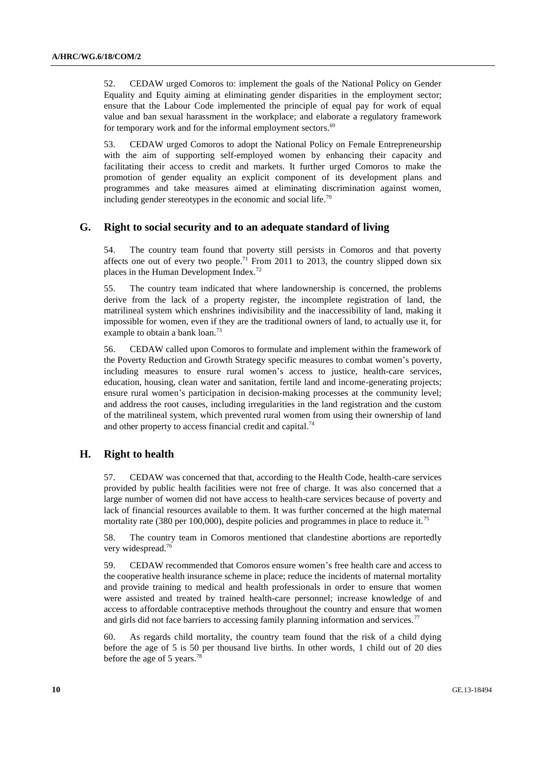52. CEDAW urged Comoros to: implement the goals of the National Policy on Gender Equality and Equity aiming at eliminating gender disparities in the employment sector; ensure that the Labour Code implemented the principle of equal pay for work of equal value and ban sexual harassment in the workplace; and elaborate a regulatory framework for temporary work and for the informal employment sectors.<sup>69</sup>

53. CEDAW urged Comoros to adopt the National Policy on Female Entrepreneurship with the aim of supporting self-employed women by enhancing their capacity and facilitating their access to credit and markets. It further urged Comoros to make the promotion of gender equality an explicit component of its development plans and programmes and take measures aimed at eliminating discrimination against women, including gender stereotypes in the economic and social life.<sup>70</sup>

### **G. Right to social security and to an adequate standard of living**

54. The country team found that poverty still persists in Comoros and that poverty affects one out of every two people.<sup>71</sup> From 2011 to 2013, the country slipped down six places in the Human Development Index.<sup>72</sup>

55. The country team indicated that where landownership is concerned, the problems derive from the lack of a property register, the incomplete registration of land, the matrilineal system which enshrines indivisibility and the inaccessibility of land, making it impossible for women, even if they are the traditional owners of land, to actually use it, for example to obtain a bank loan.<sup>73</sup>

56. CEDAW called upon Comoros to formulate and implement within the framework of the Poverty Reduction and Growth Strategy specific measures to combat women's poverty, including measures to ensure rural women's access to justice, health-care services, education, housing, clean water and sanitation, fertile land and income-generating projects; ensure rural women's participation in decision-making processes at the community level; and address the root causes, including irregularities in the land registration and the custom of the matrilineal system, which prevented rural women from using their ownership of land and other property to access financial credit and capital.<sup>74</sup>

### **H. Right to health**

57. CEDAW was concerned that that, according to the Health Code, health-care services provided by public health facilities were not free of charge. It was also concerned that a large number of women did not have access to health-care services because of poverty and lack of financial resources available to them. It was further concerned at the high maternal mortality rate (380 per 100,000), despite policies and programmes in place to reduce it.<sup>75</sup>

58. The country team in Comoros mentioned that clandestine abortions are reportedly very widespread.<sup>76</sup>

59. CEDAW recommended that Comoros ensure women's free health care and access to the cooperative health insurance scheme in place; reduce the incidents of maternal mortality and provide training to medical and health professionals in order to ensure that women were assisted and treated by trained health-care personnel; increase knowledge of and access to affordable contraceptive methods throughout the country and ensure that women and girls did not face barriers to accessing family planning information and services.<sup>77</sup>

60. As regards child mortality, the country team found that the risk of a child dying before the age of 5 is 50 per thousand live births. In other words, 1 child out of 20 dies before the age of 5 years.<sup>78</sup>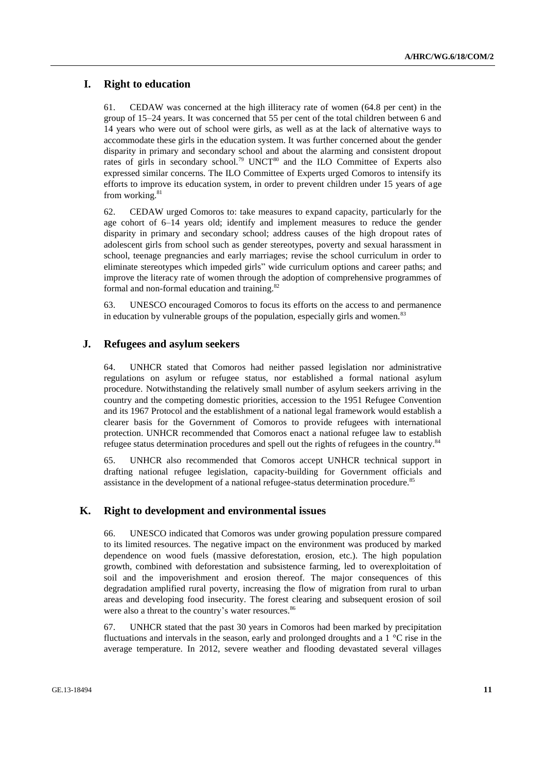### **I. Right to education**

61. CEDAW was concerned at the high illiteracy rate of women (64.8 per cent) in the group of 15–24 years. It was concerned that 55 per cent of the total children between 6 and 14 years who were out of school were girls, as well as at the lack of alternative ways to accommodate these girls in the education system. It was further concerned about the gender disparity in primary and secondary school and about the alarming and consistent dropout rates of girls in secondary school.<sup>79</sup> UNCT<sup>80</sup> and the ILO Committee of Experts also expressed similar concerns. The ILO Committee of Experts urged Comoros to intensify its efforts to improve its education system, in order to prevent children under 15 years of age from working.<sup>81</sup>

62. CEDAW urged Comoros to: take measures to expand capacity, particularly for the age cohort of 6–14 years old; identify and implement measures to reduce the gender disparity in primary and secondary school; address causes of the high dropout rates of adolescent girls from school such as gender stereotypes, poverty and sexual harassment in school, teenage pregnancies and early marriages; revise the school curriculum in order to eliminate stereotypes which impeded girls" wide curriculum options and career paths; and improve the literacy rate of women through the adoption of comprehensive programmes of formal and non-formal education and training.<sup>82</sup>

63. UNESCO encouraged Comoros to focus its efforts on the access to and permanence in education by vulnerable groups of the population, especially girls and women.<sup>83</sup>

#### **J. Refugees and asylum seekers**

64. UNHCR stated that Comoros had neither passed legislation nor administrative regulations on asylum or refugee status, nor established a formal national asylum procedure. Notwithstanding the relatively small number of asylum seekers arriving in the country and the competing domestic priorities, accession to the 1951 Refugee Convention and its 1967 Protocol and the establishment of a national legal framework would establish a clearer basis for the Government of Comoros to provide refugees with international protection. UNHCR recommended that Comoros enact a national refugee law to establish refugee status determination procedures and spell out the rights of refugees in the country.<sup>84</sup>

65. UNHCR also recommended that Comoros accept UNHCR technical support in drafting national refugee legislation, capacity-building for Government officials and assistance in the development of a national refugee-status determination procedure.<sup>85</sup>

### **K. Right to development and environmental issues**

66. UNESCO indicated that Comoros was under growing population pressure compared to its limited resources. The negative impact on the environment was produced by marked dependence on wood fuels (massive deforestation, erosion, etc.). The high population growth, combined with deforestation and subsistence farming, led to overexploitation of soil and the impoverishment and erosion thereof. The major consequences of this degradation amplified rural poverty, increasing the flow of migration from rural to urban areas and developing food insecurity. The forest clearing and subsequent erosion of soil were also a threat to the country's water resources.<sup>86</sup>

67. UNHCR stated that the past 30 years in Comoros had been marked by precipitation fluctuations and intervals in the season, early and prolonged droughts and a 1 °C rise in the average temperature. In 2012, severe weather and flooding devastated several villages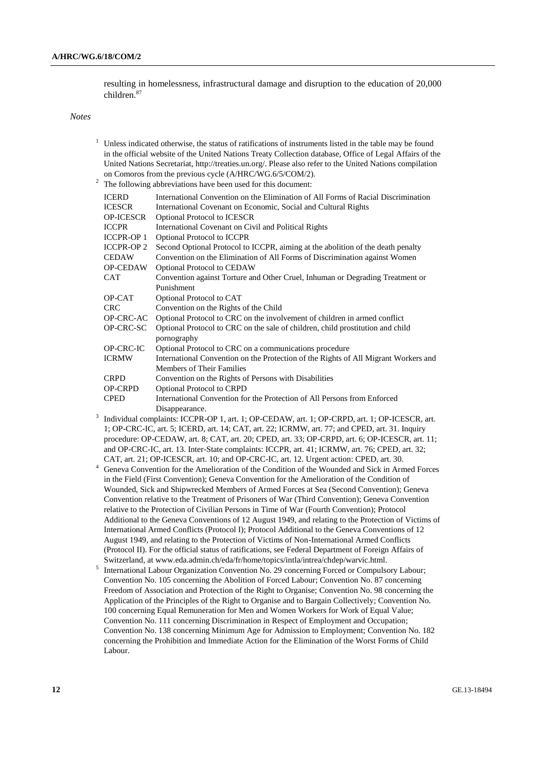resulting in homelessness, infrastructural damage and disruption to the education of 20,000 children.<sup>87</sup>

*Notes*

 $1$  Unless indicated otherwise, the status of ratifications of instruments listed in the table may be found in the official website of the United Nations Treaty Collection database, Office of Legal Affairs of the United Nations Secretariat, [http://treaties.un.org/.](http://treaties.un.org/) Please also refer to the United Nations compilation on Comoros from the previous cycle (A/HRC/WG.6/5/COM/2). <sup>2</sup> The following abbreviations have been used for this document:

|                   | The following abore viations have been used for this document.                                |
|-------------------|-----------------------------------------------------------------------------------------------|
| <b>ICERD</b>      | International Convention on the Elimination of All Forms of Racial Discrimination             |
| <b>ICESCR</b>     | International Covenant on Economic, Social and Cultural Rights                                |
| <b>OP-ICESCR</b>  | <b>Optional Protocol to ICESCR</b>                                                            |
| <b>ICCPR</b>      | International Covenant on Civil and Political Rights                                          |
| <b>ICCPR-OP 1</b> | Optional Protocol to ICCPR                                                                    |
| <b>ICCPR-OP 2</b> | Second Optional Protocol to ICCPR, aiming at the abolition of the death penalty               |
| <b>CEDAW</b>      | Convention on the Elimination of All Forms of Discrimination against Women                    |
| <b>OP-CEDAW</b>   | <b>Optional Protocol to CEDAW</b>                                                             |
| CAT               | Convention against Torture and Other Cruel, Inhuman or Degrading Treatment or                 |
|                   | Punishment                                                                                    |
| OP-CAT            | Optional Protocol to CAT                                                                      |
| <b>CRC</b>        | Convention on the Rights of the Child                                                         |
| OP-CRC-AC         | Optional Protocol to CRC on the involvement of children in armed conflict                     |
| OP-CRC-SC         | Optional Protocol to CRC on the sale of children, child prostitution and child                |
|                   | pornography                                                                                   |
| OP-CRC-IC         | Optional Protocol to CRC on a communications procedure                                        |
| <b>ICRMW</b>      | International Convention on the Protection of the Rights of All Migrant Workers and           |
|                   | Members of Their Families                                                                     |
| <b>CRPD</b>       | Convention on the Rights of Persons with Disabilities                                         |
| <b>OP-CRPD</b>    | Optional Protocol to CRPD                                                                     |
| <b>CPED</b>       | International Convention for the Protection of All Persons from Enforced                      |
|                   | Disappearance.                                                                                |
|                   | Individual complaints: ICCPR-OP 1, art. 1: OP-CEDAW, art. 1: OP-CRPD, art. 1: OP-ICESCR, art. |

- 3 Individual complaints: ICCPR-OP 1, art. 1; OP-CEDAW, art. 1; OP-CRPD, art. 1; OP-ICESCR, art. 1; OP-CRC-IC, art. 5; ICERD, art. 14; CAT, art. 22; ICRMW, art. 77; and CPED, art. 31. Inquiry procedure: OP-CEDAW, art. 8; CAT, art. 20; CPED, art. 33; OP-CRPD, art. 6; OP-ICESCR, art. 11; and OP-CRC-IC, art. 13. Inter-State complaints: ICCPR, art. 41; ICRMW, art. 76; CPED, art. 32; CAT, art. 21; OP-ICESCR, art. 10; and OP-CRC-IC, art. 12. Urgent action: CPED, art. 30.
- <sup>4</sup> Geneva Convention for the Amelioration of the Condition of the Wounded and Sick in Armed Forces in the Field (First Convention); Geneva Convention for the Amelioration of the Condition of Wounded, Sick and Shipwrecked Members of Armed Forces at Sea (Second Convention); Geneva Convention relative to the Treatment of Prisoners of War (Third Convention); Geneva Convention relative to the Protection of Civilian Persons in Time of War (Fourth Convention); Protocol Additional to the Geneva Conventions of 12 August 1949, and relating to the Protection of Victims of International Armed Conflicts (Protocol I); Protocol Additional to the Geneva Conventions of 12 August 1949, and relating to the Protection of Victims of Non-International Armed Conflicts (Protocol II). For the official status of ratifications, see Federal Department of Foreign Affairs of Switzerland, at www.eda.admin.ch/eda/fr/home/topics/intla/intrea/chdep/warvic.html.
- 5 International Labour Organization Convention No. 29 concerning Forced or Compulsory Labour; Convention No. 105 concerning the Abolition of Forced Labour; Convention No. 87 concerning Freedom of Association and Protection of the Right to Organise; Convention No. 98 concerning the Application of the Principles of the Right to Organise and to Bargain Collectively; Convention No. 100 concerning Equal Remuneration for Men and Women Workers for Work of Equal Value; Convention No. 111 concerning Discrimination in Respect of Employment and Occupation; Convention No. 138 concerning Minimum Age for Admission to Employment; Convention No. 182 concerning the Prohibition and Immediate Action for the Elimination of the Worst Forms of Child Labour.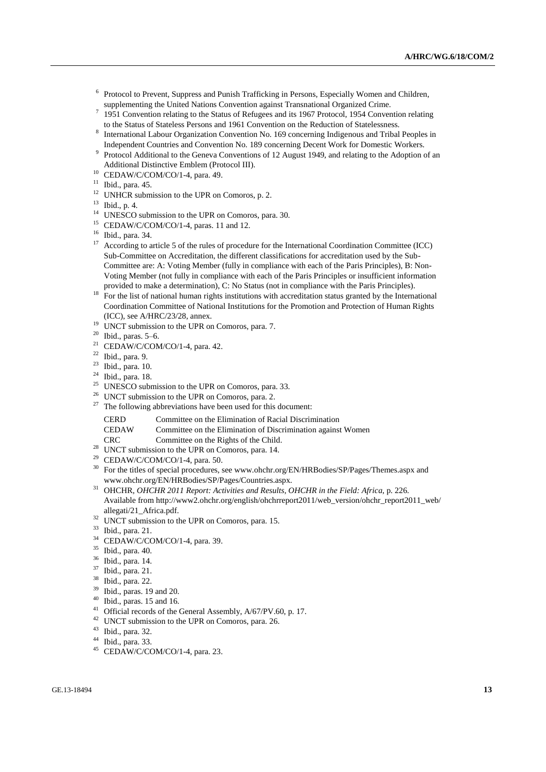- <sup>6</sup> Protocol to Prevent, Suppress and Punish Trafficking in Persons, Especially Women and Children, supplementing the United Nations Convention against Transnational Organized Crime.
- $7$  1951 Convention relating to the Status of Refugees and its 1967 Protocol, 1954 Convention relating to the Status of Stateless Persons and 1961 Convention on the Reduction of Statelessness.
- 8 International Labour Organization Convention No. 169 concerning Indigenous and Tribal Peoples in Independent Countries and Convention No. 189 concerning Decent Work for Domestic Workers.
- <sup>9</sup> Protocol Additional to the Geneva Conventions of 12 August 1949, and relating to the Adoption of an Additional Distinctive Emblem (Protocol III).
- <sup>10</sup> CEDAW/C/COM/CO/1-4, para. 49.
- <sup>11</sup> Ibid., para. 45.
- $12$  UNHCR submission to the UPR on Comoros, p. 2.
- <sup>13</sup> Ibid., p. 4.
- <sup>14</sup> UNESCO submission to the UPR on Comoros, para. 30.
- <sup>15</sup> CEDAW/C/COM/CO/1-4, paras. 11 and 12.
- <sup>16</sup> Ibid., para. 34.
- <sup>17</sup> According to article 5 of the rules of procedure for the International Coordination Committee (ICC) Sub-Committee on Accreditation, the different classifications for accreditation used by the Sub-Committee are: A: Voting Member (fully in compliance with each of the Paris Principles), B: Non-Voting Member (not fully in compliance with each of the Paris Principles or insufficient information provided to make a determination), C: No Status (not in compliance with the Paris Principles).
- <sup>18</sup> For the list of national human rights institutions with accreditation status granted by the International Coordination Committee of National Institutions for the Promotion and Protection of Human Rights (ICC), see A/HRC/23/28, annex.
- <sup>19</sup> UNCT submission to the UPR on Comoros, para. 7.<br><sup>20</sup> Ibid. paras. 5. 6.
- <sup>20</sup> Ibid., paras. 5–6.<br><sup>21</sup> CEDAW/C/COM
- <sup>21</sup> CEDAW/C/COM/CO/1-4, para. 42.<br><sup>22</sup> Ibid. para. 0
- $\frac{22}{23}$  Ibid., para. 9.
- Ibid., para. 10.
- $^{24}$  Ibid., para. 18.
- UNESCO submission to the UPR on Comoros, para. 33.
- <sup>26</sup> UNCT submission to the UPR on Comoros, para. 2.
- $27$  The following abbreviations have been used for this document:

| Committee on the Elimination of Racial Discrimination |
|-------------------------------------------------------|
|                                                       |

- CEDAW Committee on the Elimination of Discrimination against Women
- CRC Committee on the Rights of the Child.
- <sup>28</sup> UNCT submission to the UPR on Comoros, para. 14.<br><sup>29</sup> CEDAW/C/COM/CO/1.4, para. 50
- CEDAW/C/COM/CO/1-4, para. 50.
- <sup>30</sup> For the titles of special procedures, see www.ohchr.org/EN/HRBodies/SP/Pages/Themes.aspx and www.ohchr.org/EN/HRBodies/SP/Pages/Countries.aspx.
- <sup>31</sup> OHCHR, *OHCHR 2011 Report: Activities and Results, OHCHR in the Field: Africa*, p. 226. Available fro[m http://www2.ohchr.org/english/ohchrreport2011/web\\_version/ohchr\\_report2011\\_web/](http://www2.ohchr.org/english/ohchrreport2011/web_version/ohchr_report2011_web/%0ballegati/21_Africa.pdf) [allegati/21\\_Africa.pdf.](http://www2.ohchr.org/english/ohchrreport2011/web_version/ohchr_report2011_web/%0ballegati/21_Africa.pdf)
- $32$  UNCT submission to the UPR on Comoros, para. 15.
- $33$  Ibid., para. 21.
- CEDAW/C/COM/CO/1-4, para. 39.
- <sup>35</sup> Ibid., para. 40.
- $36$  Ibid., para. 14.
- $\frac{37}{38}$  Ibid., para. 21.
- Ibid., para. 22.
- <sup>39</sup> Ibid., paras. 19 and 20.
- $40$  Ibid., paras. 15 and 16.
- <sup>41</sup> Official records of the General Assembly, A/67/PV.60, p. 17.
- <sup>42</sup> UNCT submission to the UPR on Comoros, para. 26.
- <sup>43</sup> Ibid., para. 32.
- <sup>44</sup> Ibid., para. 33.
- <sup>45</sup> CEDAW/C/COM/CO/1-4, para. 23.